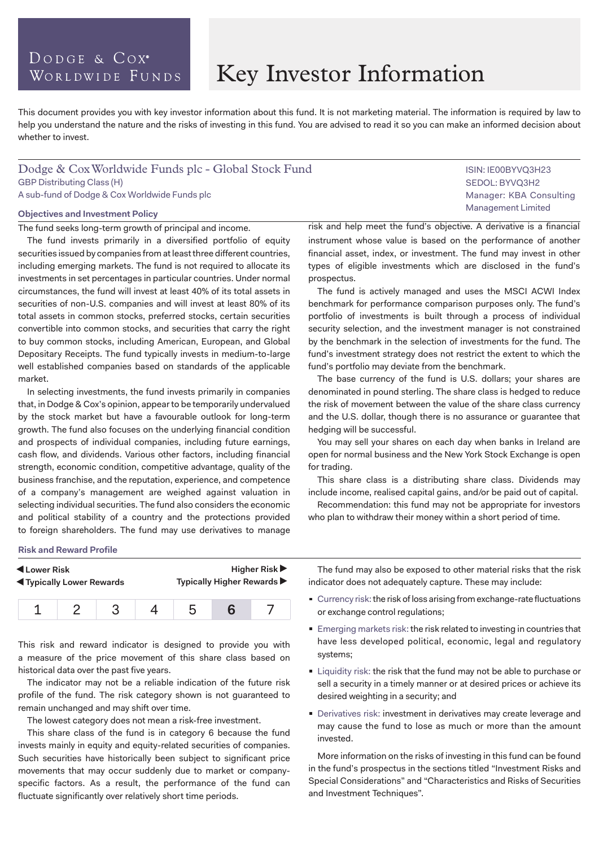# DODGE & COX<sup>®</sup> WORLDWIDE FUNDS

# Key Investor Information

This document provides you with key investor information about this fund. It is not marketing material. The information is required by law to help you understand the nature and the risks of investing in this fund. You are advised to read it so you can make an informed decision about whether to invest.

# Dodge & Cox Worldwide Funds plc - Global Stock Fund GBP Distributing Class (H) A sub-fund of Dodge & Cox Worldwide Funds plc

#### **Objectives and Investment Policy**

The fund seeks long-term growth of principal and income.

The fund invests primarily in a diversified portfolio of equity securities issued by companies from at least three different countries, including emerging markets. The fund is not required to allocate its investments in set percentages in particular countries. Under normal circumstances, the fund will invest at least 40% of its total assets in securities of non-U.S. companies and will invest at least 80% of its total assets in common stocks, preferred stocks, certain securities convertible into common stocks, and securities that carry the right to buy common stocks, including American, European, and Global Depositary Receipts. The fund typically invests in medium-to-large well established companies based on standards of the applicable market.

In selecting investments, the fund invests primarily in companies that, in Dodge & Cox's opinion, appear to be temporarily undervalued by the stock market but have a favourable outlook for long-term growth. The fund also focuses on the underlying financial condition and prospects of individual companies, including future earnings, cash flow, and dividends. Various other factors, including financial strength, economic condition, competitive advantage, quality of the business franchise, and the reputation, experience, and competence of a company's management are weighed against valuation in selecting individual securities. The fund also considers the economic and political stability of a country and the protections provided to foreign shareholders. The fund may use derivatives to manage

risk and help meet the fund's objective. A derivative is a financial instrument whose value is based on the performance of another financial asset, index, or investment. The fund may invest in other types of eligible investments which are disclosed in the fund's prospectus.

The fund is actively managed and uses the MSCI ACWI Index benchmark for performance comparison purposes only. The fund's portfolio of investments is built through a process of individual security selection, and the investment manager is not constrained by the benchmark in the selection of investments for the fund. The fund's investment strategy does not restrict the extent to which the fund's portfolio may deviate from the benchmark.

The base currency of the fund is U.S. dollars; your shares are denominated in pound sterling. The share class is hedged to reduce the risk of movement between the value of the share class currency and the U.S. dollar, though there is no assurance or guarantee that hedging will be successful.

You may sell your shares on each day when banks in Ireland are open for normal business and the New York Stock Exchange is open for trading.

This share class is a distributing share class. Dividends may include income, realised capital gains, and/or be paid out of capital.

Recommendation: this fund may not be appropriate for investors who plan to withdraw their money within a short period of time.

#### **Risk and Reward Profile**

| Lower Risk                        |  |  |  | Higher Risk $\blacktriangleright$ |  |  |  |
|-----------------------------------|--|--|--|-----------------------------------|--|--|--|
| <b>IV</b> Typically Lower Rewards |  |  |  | Typically Higher Rewards ▶        |  |  |  |
|                                   |  |  |  |                                   |  |  |  |

This risk and reward indicator is designed to provide you with a measure of the price movement of this share class based on historical data over the past five years.

The indicator may not be a reliable indication of the future risk profile of the fund. The risk category shown is not guaranteed to remain unchanged and may shift over time.

The lowest category does not mean a risk-free investment.

This share class of the fund is in category 6 because the fund invests mainly in equity and equity-related securities of companies. Such securities have historically been subject to significant price movements that may occur suddenly due to market or companyspecific factors. As a result, the performance of the fund can fluctuate significantly over relatively short time periods.

The fund may also be exposed to other material risks that the risk indicator does not adequately capture. These may include:

- Currency risk: the risk of loss arising from exchange-rate fluctuations or exchange control regulations;
- **Emerging markets risk: the risk related to investing in countries that** have less developed political, economic, legal and regulatory systems;
- **Example 1** Liquidity risk: the risk that the fund may not be able to purchase or sell a security in a timely manner or at desired prices or achieve its desired weighting in a security; and
- Derivatives risk: investment in derivatives may create leverage and may cause the fund to lose as much or more than the amount invested.

More information on the risks of investing in this fund can be found in the fund's prospectus in the sections titled "Investment Risks and Special Considerations" and "Characteristics and Risks of Securities and Investment Techniques".

ISIN: IE00BYVQ3H23 SEDOL: BYVQ3H2 Manager: KBA Consulting Management Limited